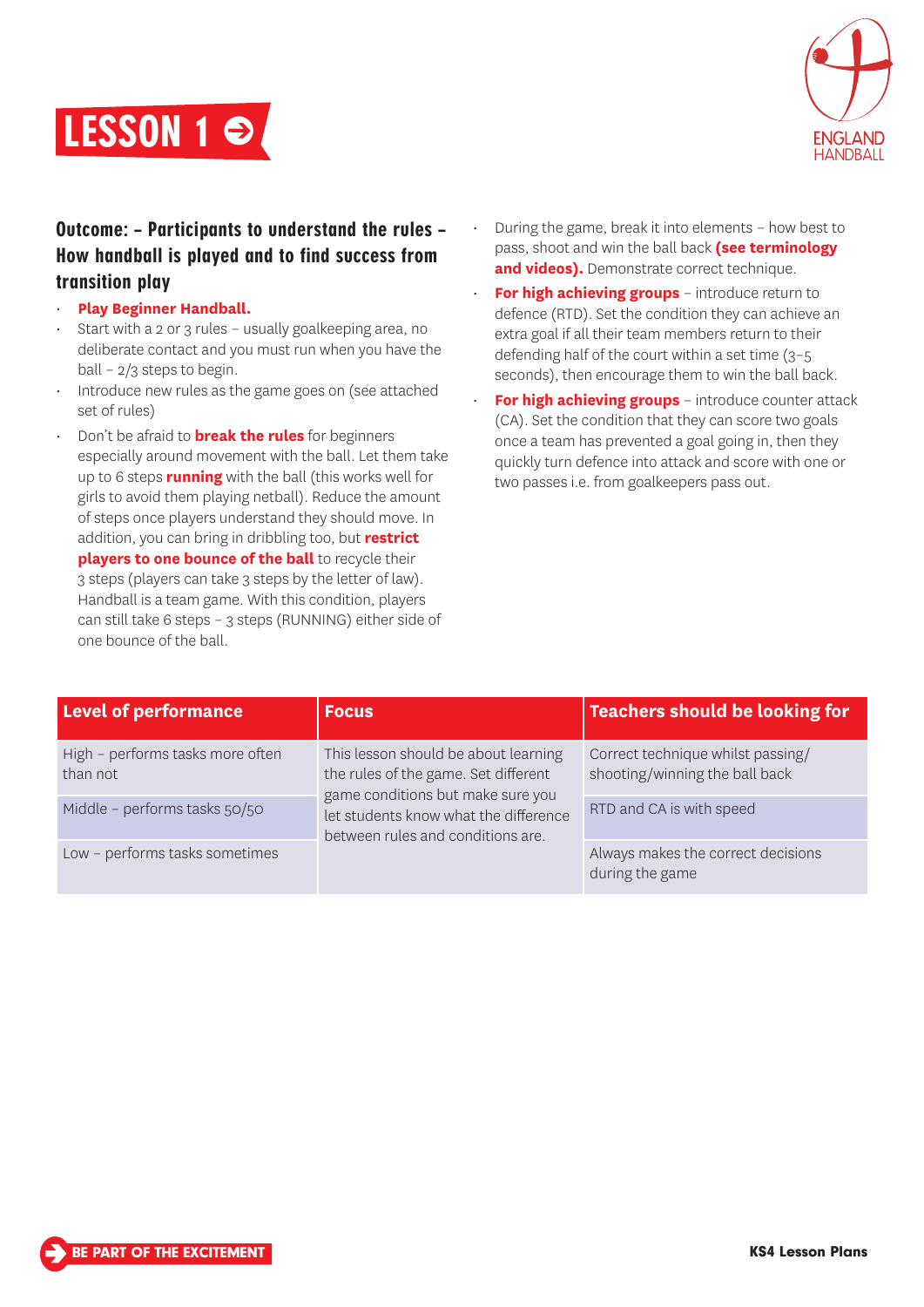



# Outcome: – Participants to understand the rules – How handball is played and to find success from transition play

- **Play Beginner Handball.**
- Start with a 2 or 3 rules usually goalkeeping area, no deliberate contact and you must run when you have the ball – 2/3 steps to begin.
- Introduce new rules as the game goes on (see attached set of rules)
- Don't be afraid to **break the rules** for beginners especially around movement with the ball. Let them take up to 6 steps **running** with the ball (this works well for girls to avoid them playing netball). Reduce the amount of steps once players understand they should move. In addition, you can bring in dribbling too, but **restrict players to one bounce of the ball** to recycle their 3 steps (players can take 3 steps by the letter of law). Handball is a team game. With this condition, players can still take 6 steps – 3 steps (RUNNING) either side of one bounce of the ball.
- During the game, break it into elements how best to pass, shoot and win the ball back **(see terminology and videos).** Demonstrate correct technique.
- **For high achieving groups** introduce return to defence (RTD). Set the condition they can achieve an extra goal if all their team members return to their defending half of the court within a set time (3–5 seconds), then encourage them to win the ball back.
- **For high achieving groups** introduce counter attack (CA). Set the condition that they can score two goals once a team has prevented a goal going in, then they quickly turn defence into attack and score with one or two passes i.e. from goalkeepers pass out.

| <b>Level of performance</b>                  | <b>Focus</b>                                                                                                                                                                                    | <b>Teachers should be looking for</b>                               |
|----------------------------------------------|-------------------------------------------------------------------------------------------------------------------------------------------------------------------------------------------------|---------------------------------------------------------------------|
| High - performs tasks more often<br>than not | This lesson should be about learning<br>the rules of the game. Set different<br>game conditions but make sure you<br>let students know what the difference<br>between rules and conditions are. | Correct technique whilst passing/<br>shooting/winning the ball back |
| Middle - performs tasks 50/50                |                                                                                                                                                                                                 | RTD and CA is with speed                                            |
| Low - performs tasks sometimes               |                                                                                                                                                                                                 | Always makes the correct decisions<br>during the game               |

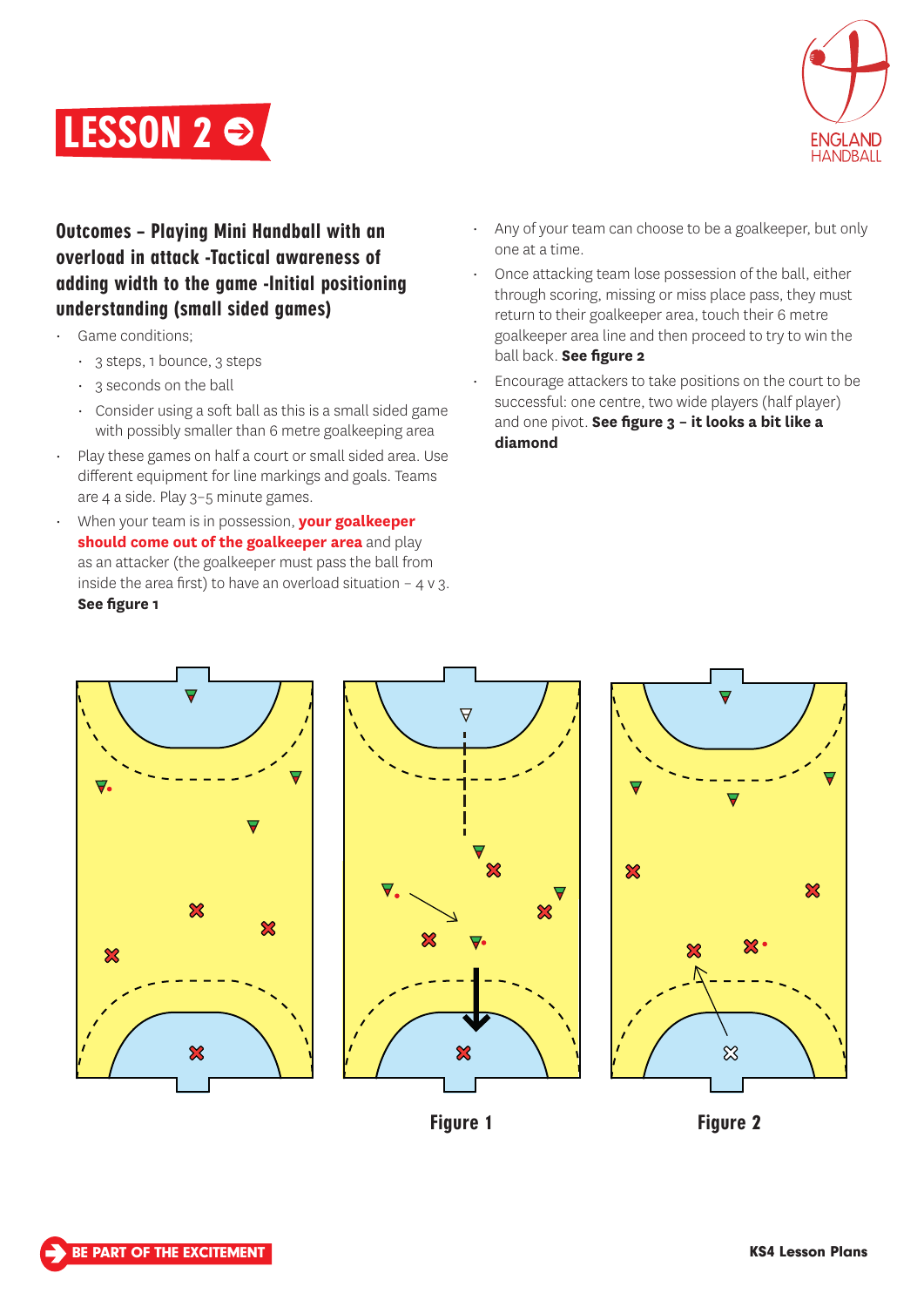



Outcomes – Playing Mini Handball with an overload in attack -Tactical awareness of adding width to the game -Initial positioning understanding (small sided games)

- Game conditions;
	- $\cdot$  3 steps, 1 bounce, 3 steps
	- 3 seconds on the ball
	- Consider using a soft ball as this is a small sided game with possibly smaller than 6 metre goalkeeping area
- Play these games on half a court or small sided area. Use different equipment for line markings and goals. Teams are 4 a side. Play 3–5 minute games.
- When your team is in possession, **your goalkeeper should come out of the goalkeeper area** and play as an attacker (the goalkeeper must pass the ball from inside the area first) to have an overload situation  $-4 \vee 3$ . **See figure 1**
- Any of your team can choose to be a goalkeeper, but only one at a time.
- Once attacking team lose possession of the ball, either through scoring, missing or miss place pass, they must return to their goalkeeper area, touch their 6 metre goalkeeper area line and then proceed to try to win the ball back. **See figure 2**
- Encourage attackers to take positions on the court to be successful: one centre, two wide players (half player) and one pivot. **See figure 3 – it looks a bit like a diamond**







Figure 1 Figure 2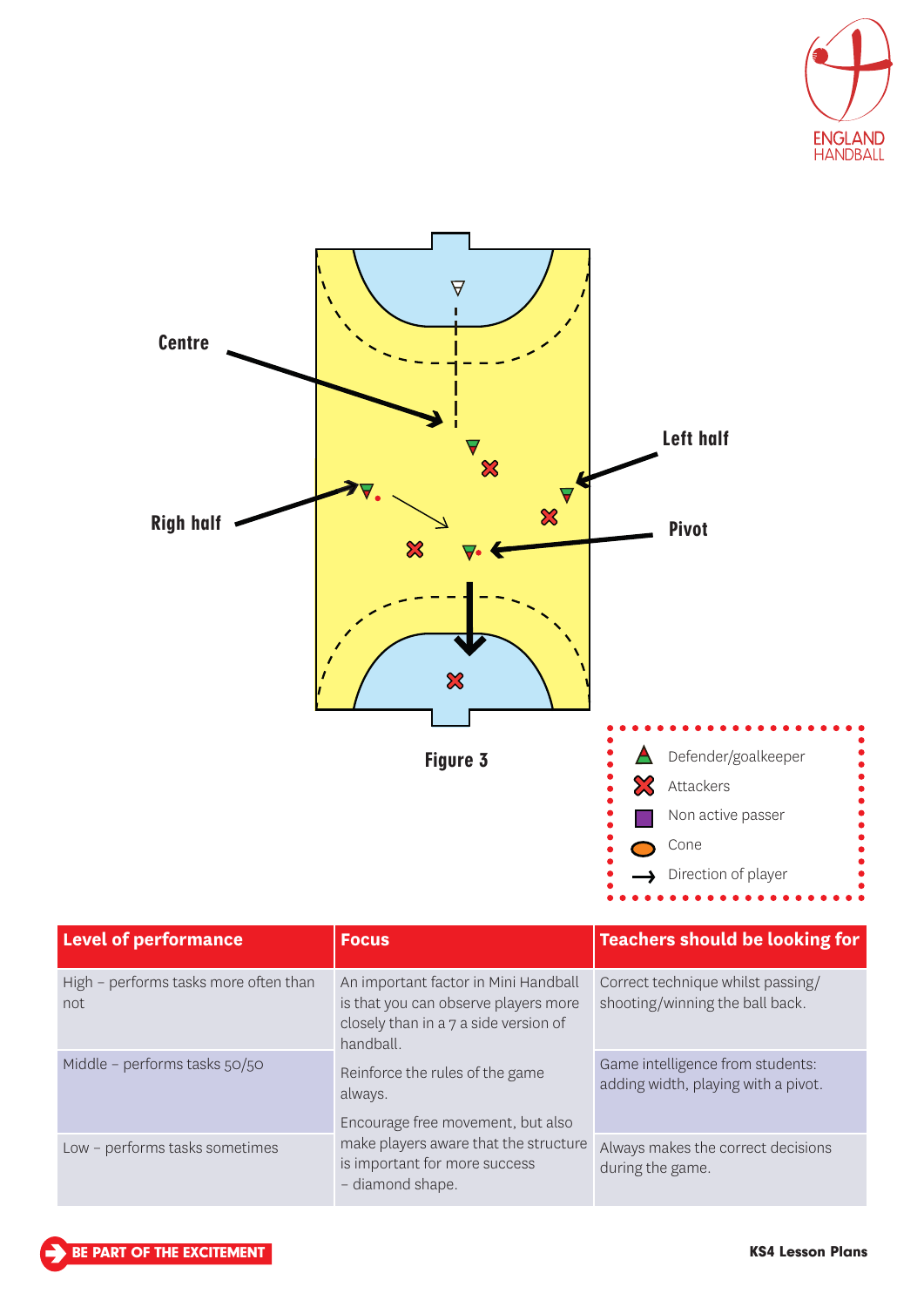



| <b>Level of performance</b>                   | <b>Focus</b>                                                                                                                       | <b>Teachers should be looking for</b>                                   |
|-----------------------------------------------|------------------------------------------------------------------------------------------------------------------------------------|-------------------------------------------------------------------------|
| High - performs tasks more often than<br>not. | An important factor in Mini Handball<br>is that you can observe players more<br>closely than in a 7 a side version of<br>handball. | Correct technique whilst passing/<br>shooting/winning the ball back.    |
| Middle - performs tasks 50/50                 | Reinforce the rules of the game<br>always.<br>Encourage free movement, but also                                                    | Game intelligence from students:<br>adding width, playing with a pivot. |
| Low - performs tasks sometimes                | make players aware that the structure<br>is important for more success<br>- diamond shape.                                         | Always makes the correct decisions<br>during the game.                  |

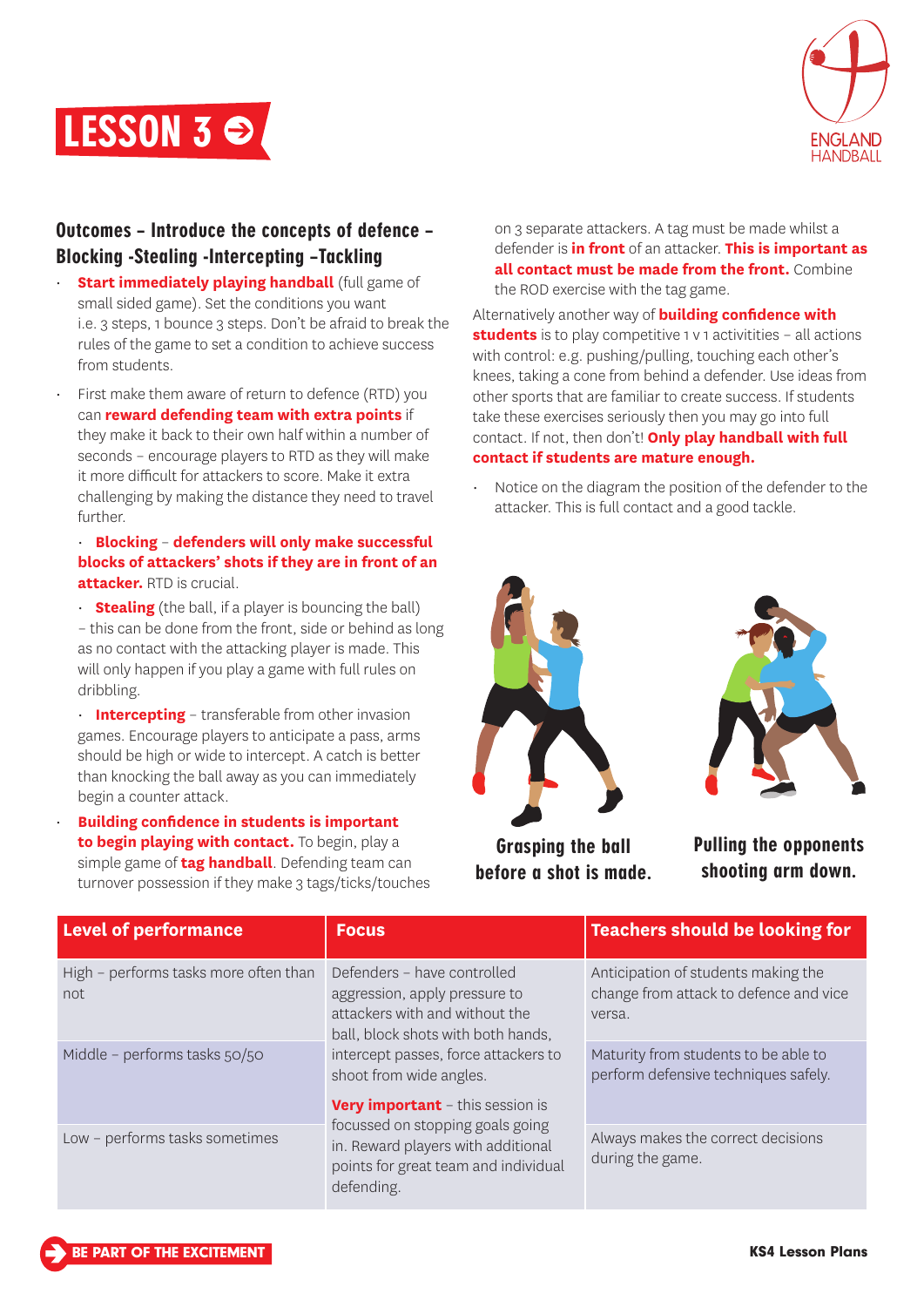



## Outcomes – Introduce the concepts of defence – Blocking -Stealing -Intercepting –Tackling

- **Start immediately playing handball** (full game of small sided game). Set the conditions you want i.e. 3 steps, 1 bounce 3 steps. Don't be afraid to break the rules of the game to set a condition to achieve success from students.
- First make them aware of return to defence (RTD) you can **reward defending team with extra points** if they make it back to their own half within a number of seconds – encourage players to RTD as they will make it more difficult for attackers to score. Make it extra challenging by making the distance they need to travel further.

#### • **Blocking** – **defenders will only make successful blocks of attackers' shots if they are in front of an attacker.** RTD is crucial.

• **Stealing** (the ball, if a player is bouncing the ball) – this can be done from the front, side or behind as long as no contact with the attacking player is made. This will only happen if you play a game with full rules on dribbling.

• **Intercepting** – transferable from other invasion games. Encourage players to anticipate a pass, arms should be high or wide to intercept. A catch is better than knocking the ball away as you can immediately begin a counter attack.

• **Building confidence in students is important to begin playing with contact.** To begin, play a simple game of **tag handball**. Defending team can turnover possession if they make 3 tags/ticks/touches

on 3 separate attackers. A tag must be made whilst a defender is **in front** of an attacker. **This is important as all contact must be made from the front.** Combine the ROD exercise with the tag game.

Alternatively another way of **building confidence with students** is to play competitive 1 y 1 activitities – all actions with control: e.g. pushing/pulling, touching each other's knees, taking a cone from behind a defender. Use ideas from other sports that are familiar to create success. If students take these exercises seriously then you may go into full contact. If not, then don't! **Only play handball with full contact if students are mature enough.**

• Notice on the diagram the position of the defender to the attacker. This is full contact and a good tackle.





Grasping the ball before a shot is made.

Pulling the opponents shooting arm down.

| <b>Level of performance</b>                  | <b>Focus</b>                                                                                                                                                                                                                                                                                                                                                                       | <b>Teachers should be looking for</b>                                                   |
|----------------------------------------------|------------------------------------------------------------------------------------------------------------------------------------------------------------------------------------------------------------------------------------------------------------------------------------------------------------------------------------------------------------------------------------|-----------------------------------------------------------------------------------------|
| High - performs tasks more often than<br>not | Defenders - have controlled<br>aggression, apply pressure to<br>attackers with and without the<br>ball, block shots with both hands,<br>intercept passes, force attackers to<br>shoot from wide angles.<br><b>Very important</b> - this session is<br>focussed on stopping goals going<br>in. Reward players with additional<br>points for great team and individual<br>defending. | Anticipation of students making the<br>change from attack to defence and vice<br>versa. |
| Middle - performs tasks 50/50                |                                                                                                                                                                                                                                                                                                                                                                                    | Maturity from students to be able to<br>perform defensive techniques safely.            |
| Low - performs tasks sometimes               |                                                                                                                                                                                                                                                                                                                                                                                    | Always makes the correct decisions<br>during the game.                                  |

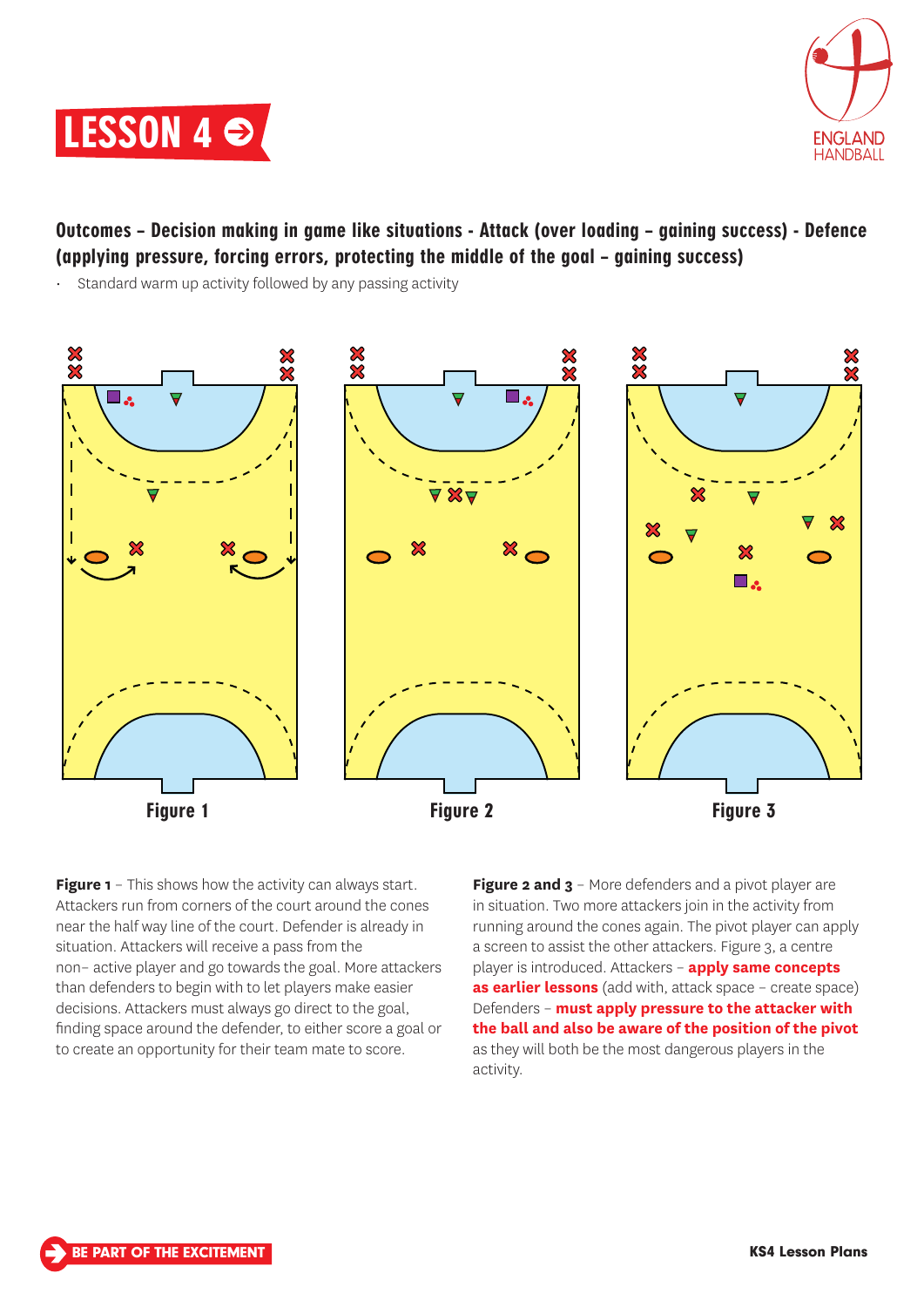



# Outcomes – Decision making in game like situations - Attack (over loading – gaining success) - Defence (applying pressure, forcing errors, protecting the middle of the goal – gaining success)

Standard warm up activity followed by any passing activity



**Figure 1** – This shows how the activity can always start. Attackers run from corners of the court around the cones near the half way line of the court. Defender is already in situation. Attackers will receive a pass from the non– active player and go towards the goal. More attackers than defenders to begin with to let players make easier decisions. Attackers must always go direct to the goal, finding space around the defender, to either score a goal or to create an opportunity for their team mate to score.

**Figure 2 and 3** – More defenders and a pivot player are in situation. Two more attackers join in the activity from running around the cones again. The pivot player can apply a screen to assist the other attackers. Figure 3, a centre player is introduced. Attackers – **apply same concepts as earlier lessons** (add with, attack space – create space) Defenders – **must apply pressure to the attacker with the ball and also be aware of the position of the pivot** as they will both be the most dangerous players in the activity.

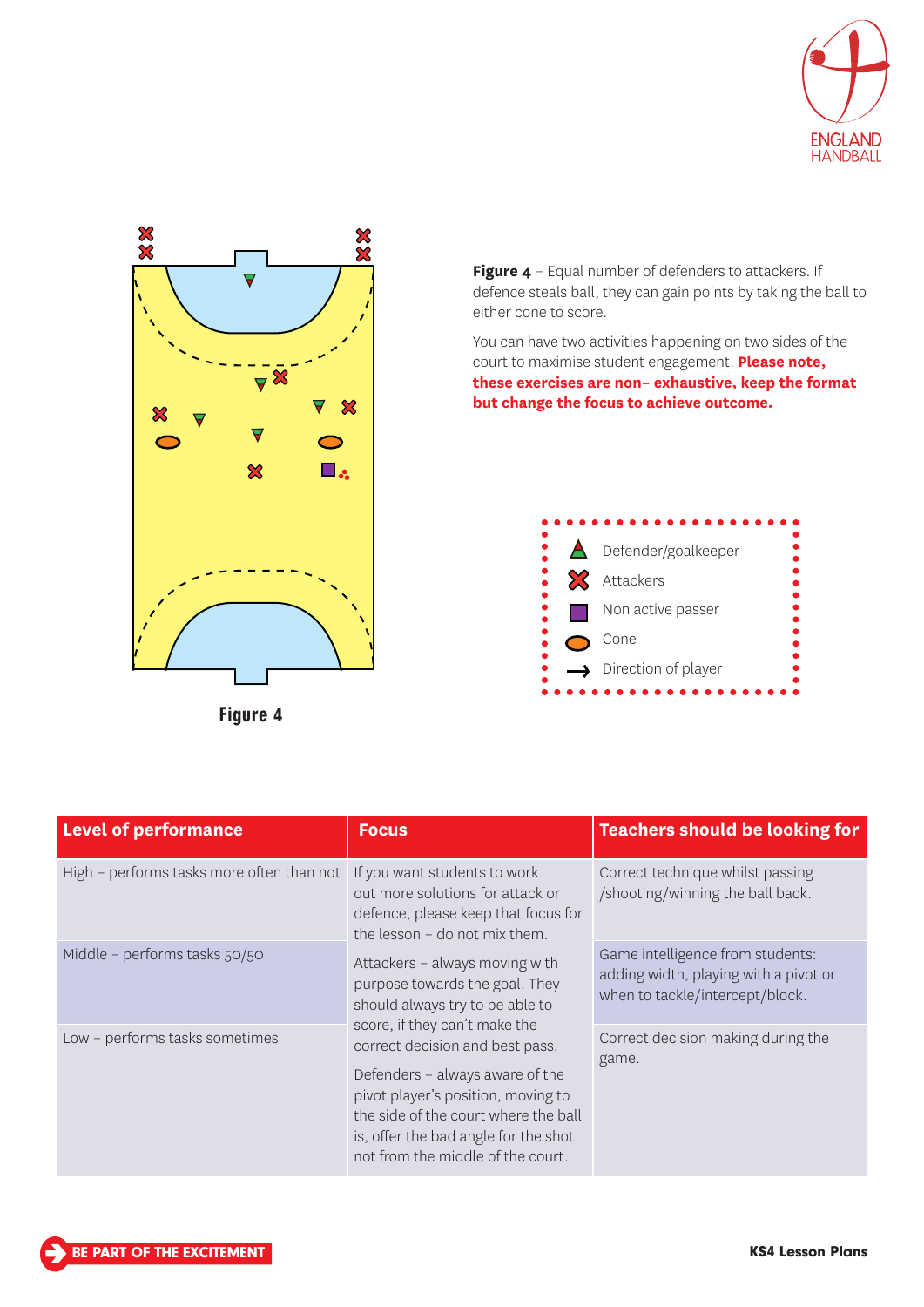



Figure 4

Figure 4 - Equal number of defenders to attackers. If defence steals ball, they can gain points by taking the ball to either cone to score.

You can have two activities happening on two sides of the court to maximise student engagement. **Please note, these exercises are non– exhaustive, keep the format but change the focus to achieve outcome.**



| <b>Level of performance</b>               | <b>Focus</b>                                                                                                                                                                                                                                                                                                                                                                                                                                                                                                      | <b>Teachers should be looking for</b>                                                                        |
|-------------------------------------------|-------------------------------------------------------------------------------------------------------------------------------------------------------------------------------------------------------------------------------------------------------------------------------------------------------------------------------------------------------------------------------------------------------------------------------------------------------------------------------------------------------------------|--------------------------------------------------------------------------------------------------------------|
| High - performs tasks more often than not | If you want students to work<br>out more solutions for attack or<br>defence, please keep that focus for<br>the lesson - do not mix them.<br>Attackers - always moving with<br>purpose towards the goal. They<br>should always try to be able to<br>score, if they can't make the<br>correct decision and best pass.<br>Defenders - always aware of the<br>pivot player's position, moving to<br>the side of the court where the ball<br>is, offer the bad angle for the shot<br>not from the middle of the court. | Correct technique whilst passing<br>/shooting/winning the ball back.                                         |
| Middle - performs tasks 50/50             |                                                                                                                                                                                                                                                                                                                                                                                                                                                                                                                   | Game intelligence from students:<br>adding width, playing with a pivot or<br>when to tackle/intercept/block. |
| Low - performs tasks sometimes            |                                                                                                                                                                                                                                                                                                                                                                                                                                                                                                                   | Correct decision making during the<br>game.                                                                  |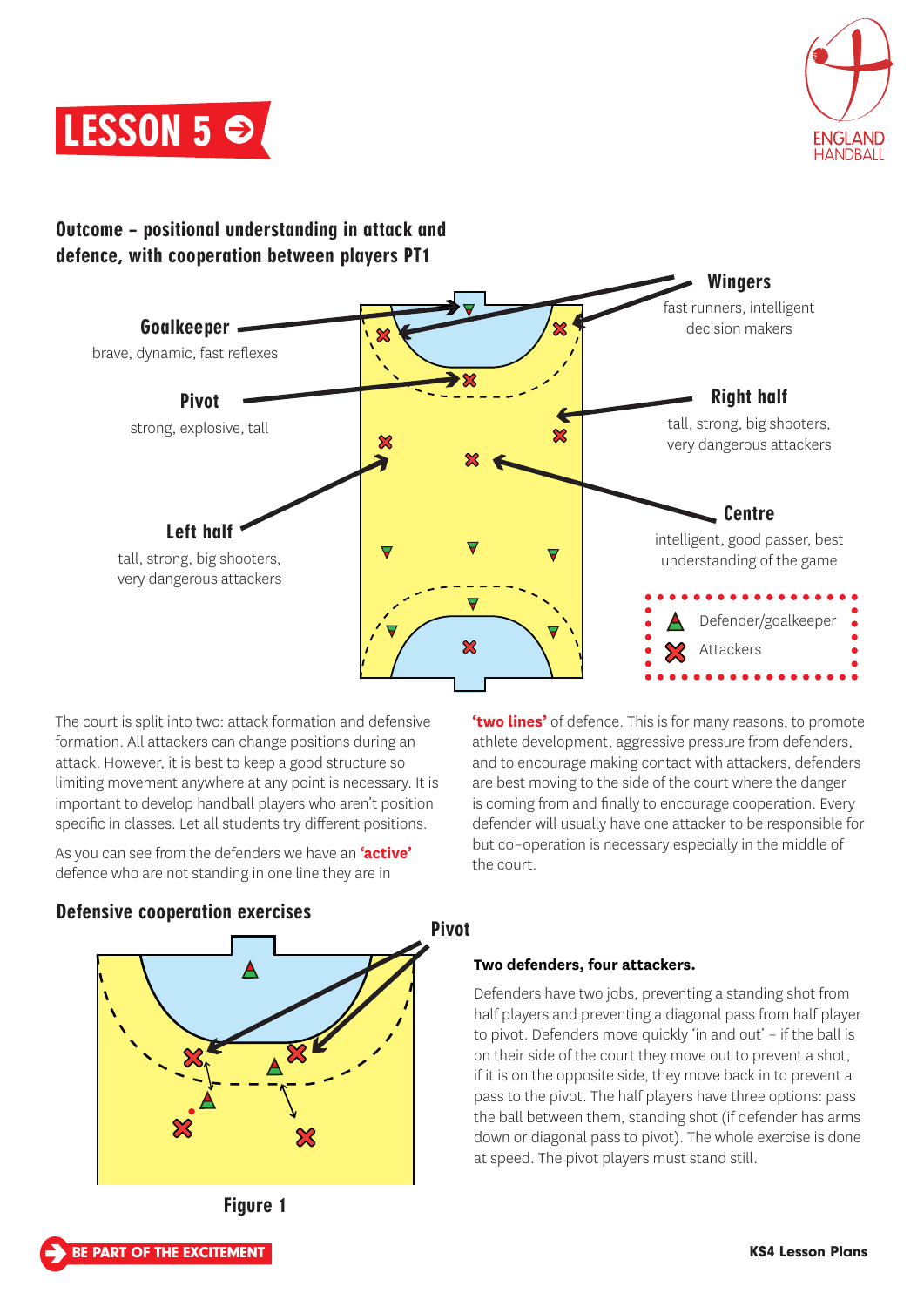



## Outcome – positional understanding in attack and defence, with cooperation between players PT1



Pivot

The court is split into two: attack formation and defensive formation. All attackers can change positions during an attack. However, it is best to keep a good structure so limiting movement anywhere at any point is necessary. It is important to develop handball players who aren't position specific in classes. Let all students try different positions.

As you can see from the defenders we have an **'active'**  defence who are not standing in one line they are in

**'two lines'** of defence. This is for many reasons, to promote athlete development, aggressive pressure from defenders, and to encourage making contact with attackers, defenders are best moving to the side of the court where the danger is coming from and finally to encourage cooperation. Every defender will usually have one attacker to be responsible for but co–operation is necessary especially in the middle of the court.

## Defensive cooperation exercises



## **Two defenders, four attackers.**

Defenders have two jobs, preventing a standing shot from half players and preventing a diagonal pass from half player to pivot. Defenders move quickly 'in and out' – if the ball is on their side of the court they move out to prevent a shot, if it is on the opposite side, they move back in to prevent a pass to the pivot. The half players have three options: pass the ball between them, standing shot (if defender has arms down or diagonal pass to pivot). The whole exercise is done at speed. The pivot players must stand still.

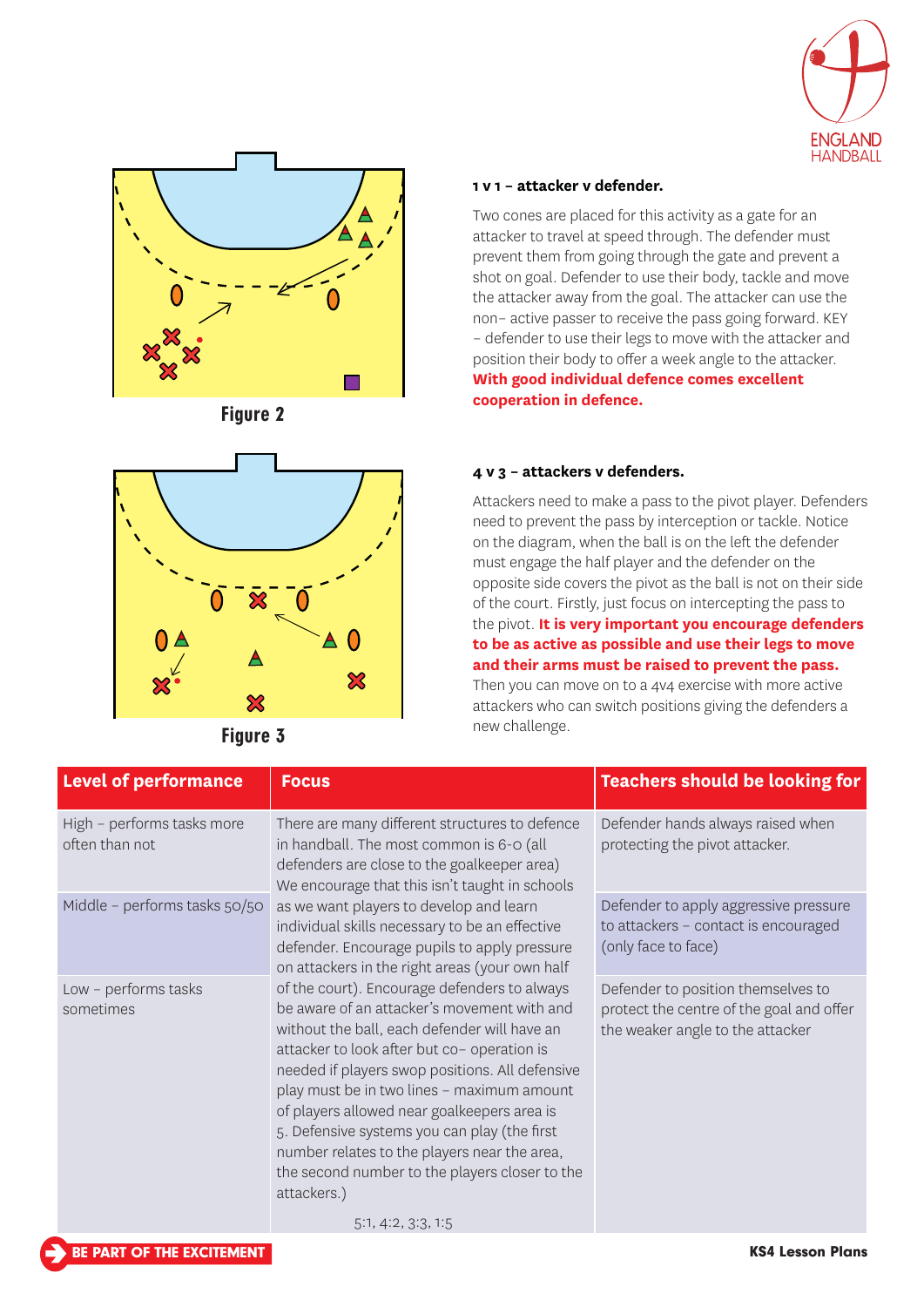







Figure 3

#### **1 v 1 – attacker v defender.**

Two cones are placed for this activity as a gate for an attacker to travel at speed through. The defender must prevent them from going through the gate and prevent a shot on goal. Defender to use their body, tackle and move the attacker away from the goal. The attacker can use the non– active passer to receive the pass going forward. KEY – defender to use their legs to move with the attacker and position their body to offer a week angle to the attacker. **With good individual defence comes excellent cooperation in defence.** 

#### **4 v 3 – attackers v defenders.**

Attackers need to make a pass to the pivot player. Defenders need to prevent the pass by interception or tackle. Notice on the diagram, when the ball is on the left the defender must engage the half player and the defender on the opposite side covers the pivot as the ball is not on their side of the court. Firstly, just focus on intercepting the pass to the pivot. **It is very important you encourage defenders to be as active as possible and use their legs to move and their arms must be raised to prevent the pass.**

Then you can move on to a 4v4 exercise with more active attackers who can switch positions giving the defenders a new challenge.

| <b>Level of performance</b>                  | <b>Focus</b>                                                                                                                                                                                                                                                                                                                                                                                                                                                                                                                                                                                                                                                                                                                                                                                                                                                                                                                    | <b>Teachers should be looking for</b>                                                                              |
|----------------------------------------------|---------------------------------------------------------------------------------------------------------------------------------------------------------------------------------------------------------------------------------------------------------------------------------------------------------------------------------------------------------------------------------------------------------------------------------------------------------------------------------------------------------------------------------------------------------------------------------------------------------------------------------------------------------------------------------------------------------------------------------------------------------------------------------------------------------------------------------------------------------------------------------------------------------------------------------|--------------------------------------------------------------------------------------------------------------------|
| High - performs tasks more<br>often than not | There are many different structures to defence<br>in handball. The most common is 6-0 (all<br>defenders are close to the goalkeeper area)<br>We encourage that this isn't taught in schools<br>as we want players to develop and learn<br>individual skills necessary to be an effective<br>defender. Encourage pupils to apply pressure<br>on attackers in the right areas (your own half<br>of the court). Encourage defenders to always<br>be aware of an attacker's movement with and<br>without the ball, each defender will have an<br>attacker to look after but co- operation is<br>needed if players swop positions. All defensive<br>play must be in two lines - maximum amount<br>of players allowed near goalkeepers area is<br>5. Defensive systems you can play (the first<br>number relates to the players near the area,<br>the second number to the players closer to the<br>attackers.)<br>5:1, 4:2, 3:3, 1:5 | Defender hands always raised when<br>protecting the pivot attacker.                                                |
| Middle - performs tasks 50/50                |                                                                                                                                                                                                                                                                                                                                                                                                                                                                                                                                                                                                                                                                                                                                                                                                                                                                                                                                 | Defender to apply aggressive pressure<br>to attackers - contact is encouraged<br>(only face to face)               |
| Low - performs tasks<br>sometimes            |                                                                                                                                                                                                                                                                                                                                                                                                                                                                                                                                                                                                                                                                                                                                                                                                                                                                                                                                 | Defender to position themselves to<br>protect the centre of the goal and offer<br>the weaker angle to the attacker |

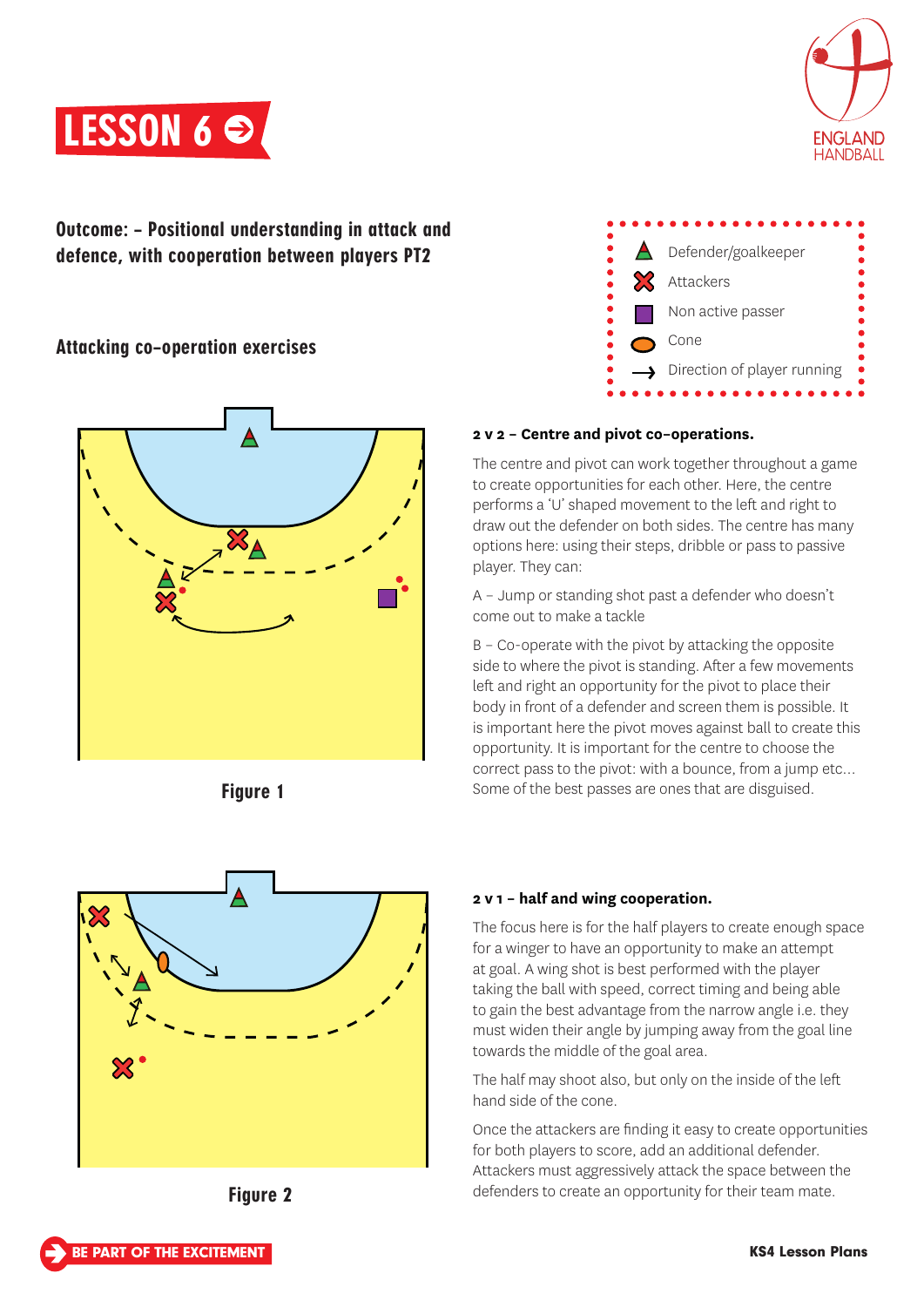



Outcome: – Positional understanding in attack and defence, with cooperation between players PT2

## Attacking co–operation exercises











## **2 v 2 – Centre and pivot co–operations.**

The centre and pivot can work together throughout a game to create opportunities for each other. Here, the centre performs a 'U' shaped movement to the left and right to draw out the defender on both sides. The centre has many options here: using their steps, dribble or pass to passive player. They can:

A – Jump or standing shot past a defender who doesn't come out to make a tackle

B – Co-operate with the pivot by attacking the opposite side to where the pivot is standing. After a few movements left and right an opportunity for the pivot to place their body in front of a defender and screen them is possible. It is important here the pivot moves against ball to create this opportunity. It is important for the centre to choose the correct pass to the pivot: with a bounce, from a jump etc… Fiqure 1 **Figure 1** Some of the best passes are ones that are disguised.

## **2 v 1 – half and wing cooperation.**

The focus here is for the half players to create enough space for a winger to have an opportunity to make an attempt at goal. A wing shot is best performed with the player taking the ball with speed, correct timing and being able to gain the best advantage from the narrow angle i.e. they must widen their angle by jumping away from the goal line towards the middle of the goal area.

The half may shoot also, but only on the inside of the left hand side of the cone.

Once the attackers are finding it easy to create opportunities for both players to score, add an additional defender. Attackers must aggressively attack the space between the defenders to create an opportunity for their team mate.